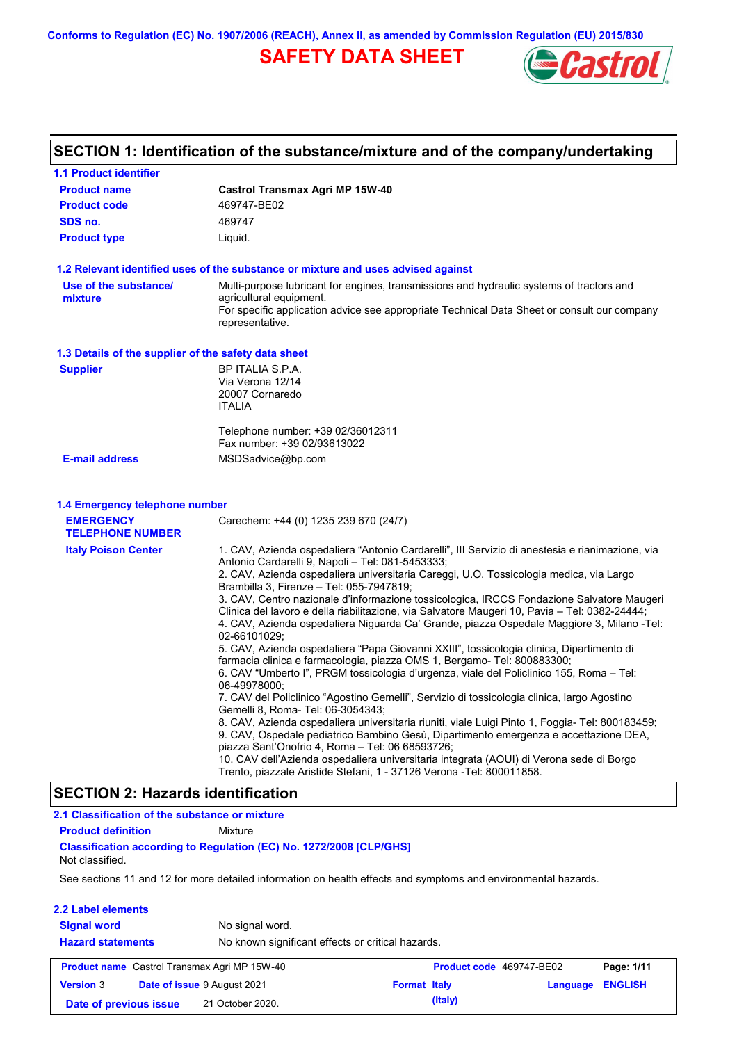**Conforms to Regulation (EC) No. 1907/2006 (REACH), Annex II, as amended by Commission Regulation (EU) 2015/830**

## **SAFETY DATA SHEET**



## **SECTION 1: Identification of the substance/mixture and of the company/undertaking**

| <b>1.1 Product identifier</b>                        |                                                                                                                                                                                                                                                                                                                                                                                                                                                                                                                                                                                                                                                                                                                                                                                                                                                                                                                                                                                                                                                                                                                                                                                                                                                                                                                                                                                                                                              |
|------------------------------------------------------|----------------------------------------------------------------------------------------------------------------------------------------------------------------------------------------------------------------------------------------------------------------------------------------------------------------------------------------------------------------------------------------------------------------------------------------------------------------------------------------------------------------------------------------------------------------------------------------------------------------------------------------------------------------------------------------------------------------------------------------------------------------------------------------------------------------------------------------------------------------------------------------------------------------------------------------------------------------------------------------------------------------------------------------------------------------------------------------------------------------------------------------------------------------------------------------------------------------------------------------------------------------------------------------------------------------------------------------------------------------------------------------------------------------------------------------------|
| <b>Product name</b>                                  | <b>Castrol Transmax Agri MP 15W-40</b>                                                                                                                                                                                                                                                                                                                                                                                                                                                                                                                                                                                                                                                                                                                                                                                                                                                                                                                                                                                                                                                                                                                                                                                                                                                                                                                                                                                                       |
| <b>Product code</b>                                  | 469747-BE02                                                                                                                                                                                                                                                                                                                                                                                                                                                                                                                                                                                                                                                                                                                                                                                                                                                                                                                                                                                                                                                                                                                                                                                                                                                                                                                                                                                                                                  |
| SDS no.                                              | 469747                                                                                                                                                                                                                                                                                                                                                                                                                                                                                                                                                                                                                                                                                                                                                                                                                                                                                                                                                                                                                                                                                                                                                                                                                                                                                                                                                                                                                                       |
| <b>Product type</b>                                  | Liquid.                                                                                                                                                                                                                                                                                                                                                                                                                                                                                                                                                                                                                                                                                                                                                                                                                                                                                                                                                                                                                                                                                                                                                                                                                                                                                                                                                                                                                                      |
|                                                      | 1.2 Relevant identified uses of the substance or mixture and uses advised against                                                                                                                                                                                                                                                                                                                                                                                                                                                                                                                                                                                                                                                                                                                                                                                                                                                                                                                                                                                                                                                                                                                                                                                                                                                                                                                                                            |
| Use of the substance/<br>mixture                     | Multi-purpose lubricant for engines, transmissions and hydraulic systems of tractors and<br>agricultural equipment.<br>For specific application advice see appropriate Technical Data Sheet or consult our company<br>representative.                                                                                                                                                                                                                                                                                                                                                                                                                                                                                                                                                                                                                                                                                                                                                                                                                                                                                                                                                                                                                                                                                                                                                                                                        |
| 1.3 Details of the supplier of the safety data sheet |                                                                                                                                                                                                                                                                                                                                                                                                                                                                                                                                                                                                                                                                                                                                                                                                                                                                                                                                                                                                                                                                                                                                                                                                                                                                                                                                                                                                                                              |
| <b>Supplier</b>                                      | BP ITALIA S.P.A.<br>Via Verona 12/14<br>20007 Cornaredo<br><b>ITALIA</b>                                                                                                                                                                                                                                                                                                                                                                                                                                                                                                                                                                                                                                                                                                                                                                                                                                                                                                                                                                                                                                                                                                                                                                                                                                                                                                                                                                     |
|                                                      | Telephone number: +39 02/36012311<br>Fax number: +39 02/93613022                                                                                                                                                                                                                                                                                                                                                                                                                                                                                                                                                                                                                                                                                                                                                                                                                                                                                                                                                                                                                                                                                                                                                                                                                                                                                                                                                                             |
| <b>E-mail address</b>                                | MSDSadvice@bp.com                                                                                                                                                                                                                                                                                                                                                                                                                                                                                                                                                                                                                                                                                                                                                                                                                                                                                                                                                                                                                                                                                                                                                                                                                                                                                                                                                                                                                            |
| 1.4 Emergency telephone number                       |                                                                                                                                                                                                                                                                                                                                                                                                                                                                                                                                                                                                                                                                                                                                                                                                                                                                                                                                                                                                                                                                                                                                                                                                                                                                                                                                                                                                                                              |
| <b>EMERGENCY</b>                                     | Carechem: +44 (0) 1235 239 670 (24/7)                                                                                                                                                                                                                                                                                                                                                                                                                                                                                                                                                                                                                                                                                                                                                                                                                                                                                                                                                                                                                                                                                                                                                                                                                                                                                                                                                                                                        |
| <b>TELEPHONE NUMBER</b>                              |                                                                                                                                                                                                                                                                                                                                                                                                                                                                                                                                                                                                                                                                                                                                                                                                                                                                                                                                                                                                                                                                                                                                                                                                                                                                                                                                                                                                                                              |
| <b>Italy Poison Center</b>                           | 1. CAV, Azienda ospedaliera "Antonio Cardarelli", III Servizio di anestesia e rianimazione, via<br>Antonio Cardarelli 9, Napoli - Tel: 081-5453333;<br>2. CAV, Azienda ospedaliera universitaria Careggi, U.O. Tossicologia medica, via Largo<br>Brambilla 3, Firenze - Tel: 055-7947819;<br>3. CAV, Centro nazionale d'informazione tossicologica, IRCCS Fondazione Salvatore Maugeri<br>Clinica del lavoro e della riabilitazione, via Salvatore Maugeri 10, Pavia - Tel: 0382-24444;<br>4. CAV, Azienda ospedaliera Niguarda Ca' Grande, piazza Ospedale Maggiore 3, Milano -Tel:<br>02-66101029;<br>5. CAV, Azienda ospedaliera "Papa Giovanni XXIII", tossicologia clinica, Dipartimento di<br>farmacia clinica e farmacologia, piazza OMS 1, Bergamo- Tel: 800883300;<br>6. CAV "Umberto I", PRGM tossicologia d'urgenza, viale del Policlinico 155, Roma - Tel:<br>06-49978000;<br>7. CAV del Policlinico "Agostino Gemelli", Servizio di tossicologia clinica, largo Agostino<br>Gemelli 8, Roma- Tel: 06-3054343;<br>8. CAV, Azienda ospedaliera universitaria riuniti, viale Luigi Pinto 1, Foggia- Tel: 800183459;<br>9. CAV, Ospedale pediatrico Bambino Gesù, Dipartimento emergenza e accettazione DEA,<br>piazza Sant'Onofrio 4, Roma - Tel: 06 68593726;<br>10. CAV dell'Azienda ospedaliera universitaria integrata (AOUI) di Verona sede di Borgo<br>Trento, piazzale Aristide Stefani, 1 - 37126 Verona - Tel: 800011858. |
| FATIAN A. U                                          | $1.1 - 1.122 - 11$                                                                                                                                                                                                                                                                                                                                                                                                                                                                                                                                                                                                                                                                                                                                                                                                                                                                                                                                                                                                                                                                                                                                                                                                                                                                                                                                                                                                                           |

### **SECTION 2: Hazards identification**

| 2.1 Classification of the substance or mixture |                                                                                                                |
|------------------------------------------------|----------------------------------------------------------------------------------------------------------------|
| <b>Product definition</b>                      | Mixture                                                                                                        |
| Not classified.                                | <b>Classification according to Regulation (EC) No. 1272/2008 [CLP/GHS]</b>                                     |
|                                                | See sections 11 and 12 for more detailed information on health effects and symptoms and environmental hazards. |
| 2.2 Label elements                             |                                                                                                                |
| <b>Signal word</b>                             | No signal word.                                                                                                |

| <b>Hazard statements</b>                        |                                                     | No known significant effects or critical hazards. |  |                          |  |            |
|-------------------------------------------------|-----------------------------------------------------|---------------------------------------------------|--|--------------------------|--|------------|
|                                                 | <b>Product name</b> Castrol Transmax Agri MP 15W-40 |                                                   |  | Product code 469747-BE02 |  | Page: 1/11 |
| Date of issue 9 August 2021<br><b>Version 3</b> |                                                     | <b>Format Italy</b>                               |  | <b>Language ENGLISH</b>  |  |            |
| Date of previous issue                          |                                                     | 21 October 2020.                                  |  | (Italy)                  |  |            |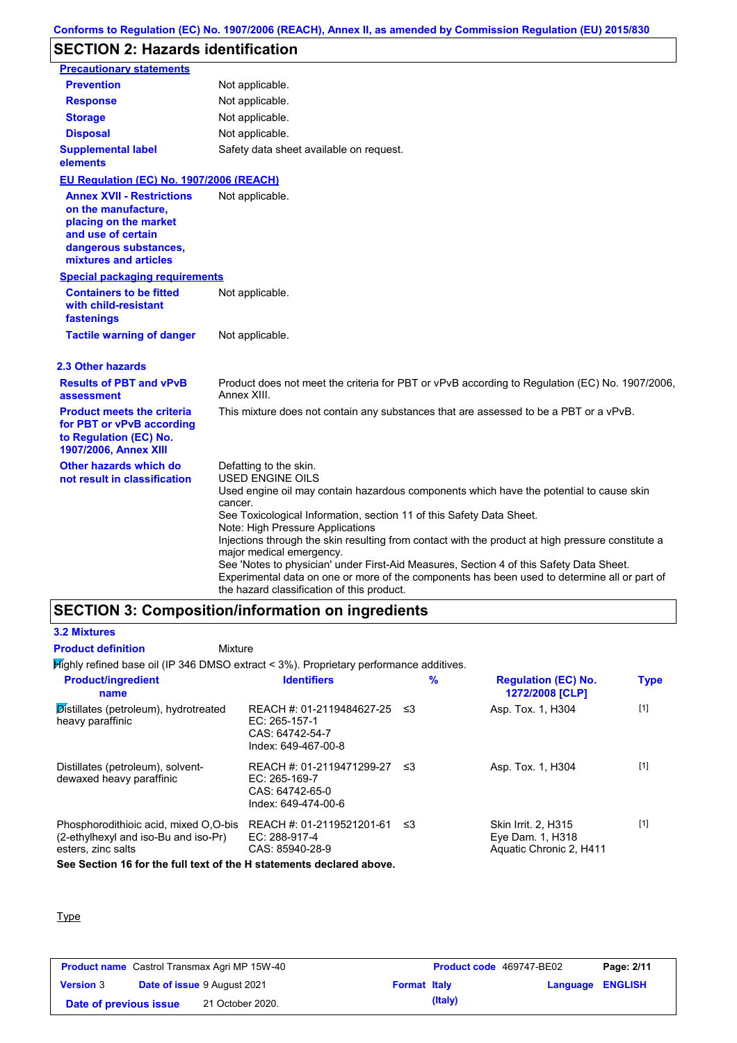## **SECTION 2: Hazards identification**

| <b>Precautionary statements</b>                                                                                                                          |                                                                                                                                                                                                                                       |
|----------------------------------------------------------------------------------------------------------------------------------------------------------|---------------------------------------------------------------------------------------------------------------------------------------------------------------------------------------------------------------------------------------|
| <b>Prevention</b>                                                                                                                                        | Not applicable.                                                                                                                                                                                                                       |
| <b>Response</b>                                                                                                                                          | Not applicable.                                                                                                                                                                                                                       |
| <b>Storage</b>                                                                                                                                           | Not applicable.                                                                                                                                                                                                                       |
| <b>Disposal</b>                                                                                                                                          | Not applicable.                                                                                                                                                                                                                       |
| <b>Supplemental label</b><br>elements                                                                                                                    | Safety data sheet available on request.                                                                                                                                                                                               |
| EU Regulation (EC) No. 1907/2006 (REACH)                                                                                                                 |                                                                                                                                                                                                                                       |
| <b>Annex XVII - Restrictions</b><br>on the manufacture.<br>placing on the market<br>and use of certain<br>dangerous substances,<br>mixtures and articles | Not applicable.                                                                                                                                                                                                                       |
| <b>Special packaging requirements</b>                                                                                                                    |                                                                                                                                                                                                                                       |
| <b>Containers to be fitted</b><br>with child-resistant<br>fastenings                                                                                     | Not applicable.                                                                                                                                                                                                                       |
| <b>Tactile warning of danger</b>                                                                                                                         | Not applicable.                                                                                                                                                                                                                       |
| 2.3 Other hazards                                                                                                                                        |                                                                                                                                                                                                                                       |
| <b>Results of PBT and vPvB</b><br>assessment                                                                                                             | Product does not meet the criteria for PBT or vPvB according to Regulation (EC) No. 1907/2006,<br>Annex XIII.                                                                                                                         |
| <b>Product meets the criteria</b><br>for PBT or vPvB according<br>to Regulation (EC) No.<br>1907/2006, Annex XIII                                        | This mixture does not contain any substances that are assessed to be a PBT or a vPvB.                                                                                                                                                 |
| Other hazards which do<br>not result in classification                                                                                                   | Defatting to the skin.<br><b>USED ENGINE OILS</b>                                                                                                                                                                                     |
|                                                                                                                                                          | Used engine oil may contain hazardous components which have the potential to cause skin<br>cancer.                                                                                                                                    |
|                                                                                                                                                          | See Toxicological Information, section 11 of this Safety Data Sheet.<br>Note: High Pressure Applications                                                                                                                              |
|                                                                                                                                                          | Injections through the skin resulting from contact with the product at high pressure constitute a<br>major medical emergency.                                                                                                         |
|                                                                                                                                                          | See 'Notes to physician' under First-Aid Measures, Section 4 of this Safety Data Sheet.<br>Experimental data on one or more of the components has been used to determine all or part of<br>the hazard classification of this product. |

## **SECTION 3: Composition/information on ingredients**

### **3.2 Mixtures Product definition**

### Mixture

Highly refined base oil (IP 346 DMSO extract < 3%). Proprietary performance additives.

| <b>Product/ingredient</b><br>name                                                                   | <b>Identifiers</b>                                                                        |      | $\%$ | <b>Regulation (EC) No.</b><br>1272/2008 [CLP]                      | <b>Type</b> |
|-----------------------------------------------------------------------------------------------------|-------------------------------------------------------------------------------------------|------|------|--------------------------------------------------------------------|-------------|
| Distillates (petroleum), hydrotreated<br>heavy paraffinic                                           | REACH #: 01-2119484627-25 ≤3<br>$EC: 265-157-1$<br>CAS: 64742-54-7<br>Index: 649-467-00-8 |      |      | Asp. Tox. 1, H304                                                  | $[1]$       |
| Distillates (petroleum), solvent-<br>dewaxed heavy paraffinic                                       | REACH #: 01-2119471299-27<br>$EC: 265-169-7$<br>CAS: 64742-65-0<br>Index: 649-474-00-6    | - ≤3 |      | Asp. Tox. 1, H304                                                  | $[1]$       |
| Phosphorodithioic acid, mixed O.O-bis<br>(2-ethylhexyl and iso-Bu and iso-Pr)<br>esters, zinc salts | REACH #: 01-2119521201-61<br>EC: 288-917-4<br>CAS: 85940-28-9                             | -≤3  |      | Skin Irrit. 2, H315<br>Eye Dam. 1, H318<br>Aquatic Chronic 2, H411 | $[1]$       |
| See Section 16 for the full text of the H statements declared above.                                |                                                                                           |      |      |                                                                    |             |

### **Type**

|                        | <b>Product name</b> Castrol Transmax Agri MP 15W-40 |                     | Product code 469747-BE02 |                  | Page: 2/11 |
|------------------------|-----------------------------------------------------|---------------------|--------------------------|------------------|------------|
| <b>Version 3</b>       | <b>Date of issue 9 August 2021</b>                  | <b>Format Italy</b> |                          | Language ENGLISH |            |
| Date of previous issue | 21 October 2020.                                    |                     | (Italy)                  |                  |            |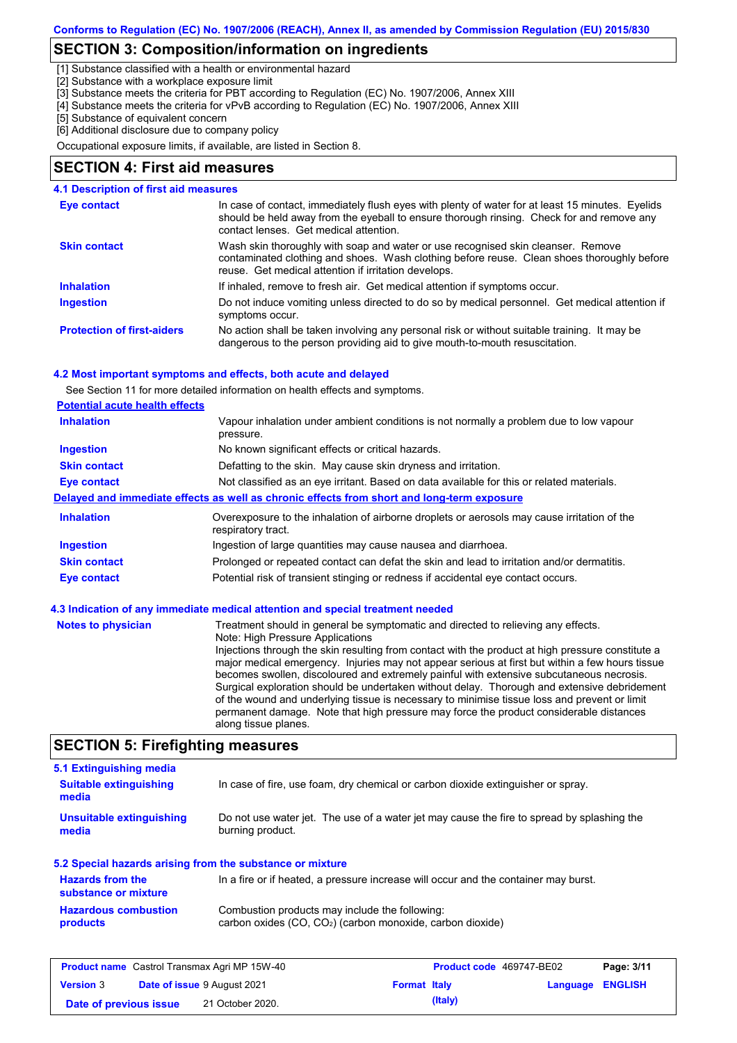### **SECTION 3: Composition/information on ingredients**

[1] Substance classified with a health or environmental hazard

[2] Substance with a workplace exposure limit

[3] Substance meets the criteria for PBT according to Regulation (EC) No. 1907/2006, Annex XIII

[4] Substance meets the criteria for vPvB according to Regulation (EC) No. 1907/2006, Annex XIII

[5] Substance of equivalent concern

[6] Additional disclosure due to company policy

Occupational exposure limits, if available, are listed in Section 8.

### **SECTION 4: First aid measures**

| 4.1 Description of first aid measures |                                                                                                                                                                                                                                         |
|---------------------------------------|-----------------------------------------------------------------------------------------------------------------------------------------------------------------------------------------------------------------------------------------|
| Eye contact                           | In case of contact, immediately flush eyes with plenty of water for at least 15 minutes. Eyelids<br>should be held away from the eyeball to ensure thorough rinsing. Check for and remove any<br>contact lenses. Get medical attention. |
| <b>Skin contact</b>                   | Wash skin thoroughly with soap and water or use recognised skin cleanser. Remove<br>contaminated clothing and shoes. Wash clothing before reuse. Clean shoes thoroughly before<br>reuse. Get medical attention if irritation develops.  |
| <b>Inhalation</b>                     | If inhaled, remove to fresh air. Get medical attention if symptoms occur.                                                                                                                                                               |
| <b>Ingestion</b>                      | Do not induce vomiting unless directed to do so by medical personnel. Get medical attention if<br>symptoms occur.                                                                                                                       |
| <b>Protection of first-aiders</b>     | No action shall be taken involving any personal risk or without suitable training. It may be<br>dangerous to the person providing aid to give mouth-to-mouth resuscitation.                                                             |

#### **4.2 Most important symptoms and effects, both acute and delayed**

See Section 11 for more detailed information on health effects and symptoms.

| <b>Potential acute health effects</b> |                                                                                                                   |  |  |  |
|---------------------------------------|-------------------------------------------------------------------------------------------------------------------|--|--|--|
| <b>Inhalation</b>                     | Vapour inhalation under ambient conditions is not normally a problem due to low vapour<br>pressure.               |  |  |  |
| <b>Ingestion</b>                      | No known significant effects or critical hazards.                                                                 |  |  |  |
| <b>Skin contact</b>                   | Defatting to the skin. May cause skin dryness and irritation.                                                     |  |  |  |
| <b>Eye contact</b>                    | Not classified as an eye irritant. Based on data available for this or related materials.                         |  |  |  |
|                                       | Delayed and immediate effects as well as chronic effects from short and long-term exposure                        |  |  |  |
| <b>Inhalation</b>                     | Overexposure to the inhalation of airborne droplets or aerosols may cause irritation of the<br>respiratory tract. |  |  |  |
|                                       |                                                                                                                   |  |  |  |
| <b>Ingestion</b>                      | Ingestion of large quantities may cause nausea and diarrhoea.                                                     |  |  |  |
| <b>Skin contact</b>                   | Prolonged or repeated contact can defat the skin and lead to irritation and/or dermatitis.                        |  |  |  |

#### **Notes to physician** Treatment should in general be symptomatic and directed to relieving any effects. Note: High Pressure Applications Injections through the skin resulting from contact with the product at high pressure constitute a major medical emergency. Injuries may not appear serious at first but within a few hours tissue becomes swollen, discoloured and extremely painful with extensive subcutaneous necrosis. Surgical exploration should be undertaken without delay. Thorough and extensive debridement of the wound and underlying tissue is necessary to minimise tissue loss and prevent or limit permanent damage. Note that high pressure may force the product considerable distances along tissue planes.

### **SECTION 5: Firefighting measures**

| 5.1 Extinguishing media                                   |                                                                                                                |
|-----------------------------------------------------------|----------------------------------------------------------------------------------------------------------------|
| <b>Suitable extinguishing</b><br>media                    | In case of fire, use foam, dry chemical or carbon dioxide extinguisher or spray.                               |
| Unsuitable extinguishing<br>media                         | Do not use water jet. The use of a water jet may cause the fire to spread by splashing the<br>burning product. |
| 5.2 Special hazards arising from the substance or mixture |                                                                                                                |
| <b>Hazards from the</b><br>substance or mixture           | In a fire or if heated, a pressure increase will occur and the container may burst.                            |
| <b>Hazardous combustion</b><br>products                   | Combustion products may include the following:<br>carbon oxides $(CO, CO2)$ (carbon monoxide, carbon dioxide)  |

| <b>Product name</b> Castrol Transmax Agri MP 15W-40 |  | <b>Product code</b> 469747-BE02    |                     | Page: 3/11 |                         |  |
|-----------------------------------------------------|--|------------------------------------|---------------------|------------|-------------------------|--|
| <b>Version 3</b>                                    |  | <b>Date of issue 9 August 2021</b> | <b>Format Italy</b> |            | <b>Language ENGLISH</b> |  |
| Date of previous issue                              |  | 21 October 2020.                   |                     | (Italy)    |                         |  |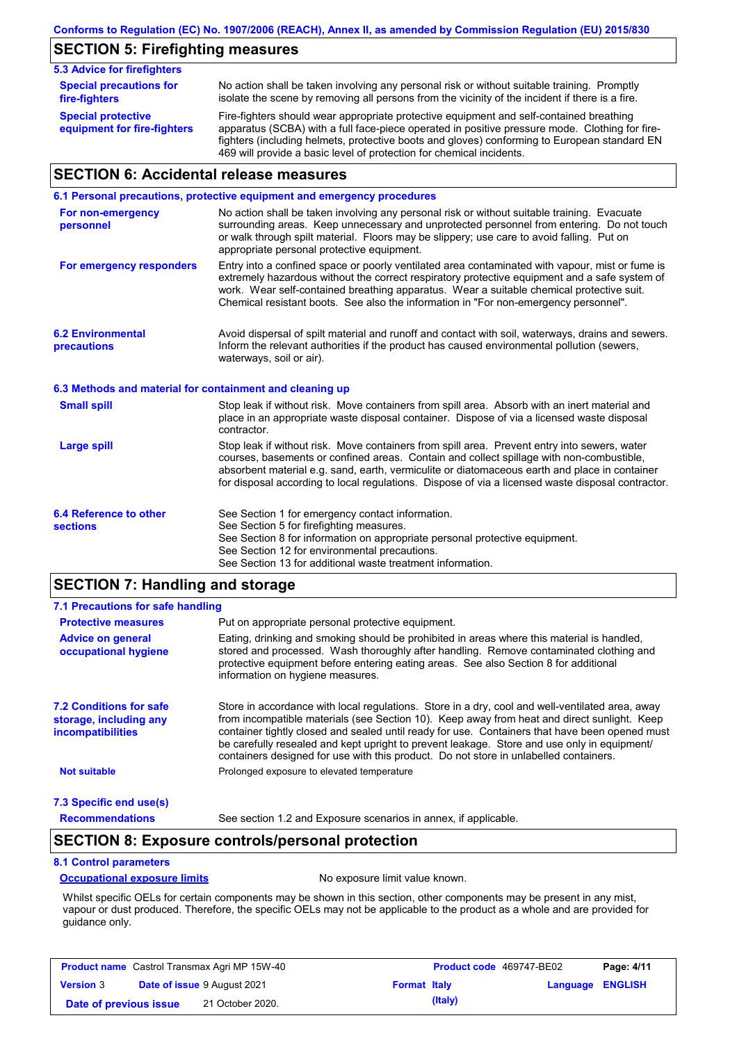## **SECTION 5: Firefighting measures**

| <b>5.3 Advice for firefighters</b>                       |                                                                                                                                                                                                                                                                                                                                                                   |
|----------------------------------------------------------|-------------------------------------------------------------------------------------------------------------------------------------------------------------------------------------------------------------------------------------------------------------------------------------------------------------------------------------------------------------------|
| <b>Special precautions for</b><br>fire-fighters          | No action shall be taken involving any personal risk or without suitable training. Promptly<br>isolate the scene by removing all persons from the vicinity of the incident if there is a fire.                                                                                                                                                                    |
| <b>Special protective</b><br>equipment for fire-fighters | Fire-fighters should wear appropriate protective equipment and self-contained breathing<br>apparatus (SCBA) with a full face-piece operated in positive pressure mode. Clothing for fire-<br>fighters (including helmets, protective boots and gloves) conforming to European standard EN<br>469 will provide a basic level of protection for chemical incidents. |

## **SECTION 6: Accidental release measures**

|                                                          | 6.1 Personal precautions, protective equipment and emergency procedures                                                                                                                                                                                                                                                                                                                        |
|----------------------------------------------------------|------------------------------------------------------------------------------------------------------------------------------------------------------------------------------------------------------------------------------------------------------------------------------------------------------------------------------------------------------------------------------------------------|
| For non-emergency<br>personnel                           | No action shall be taken involving any personal risk or without suitable training. Evacuate<br>surrounding areas. Keep unnecessary and unprotected personnel from entering. Do not touch<br>or walk through spilt material. Floors may be slippery; use care to avoid falling. Put on<br>appropriate personal protective equipment.                                                            |
| For emergency responders                                 | Entry into a confined space or poorly ventilated area contaminated with vapour, mist or fume is<br>extremely hazardous without the correct respiratory protective equipment and a safe system of<br>work. Wear self-contained breathing apparatus. Wear a suitable chemical protective suit.<br>Chemical resistant boots. See also the information in "For non-emergency personnel".           |
| <b>6.2 Environmental</b><br>precautions                  | Avoid dispersal of spilt material and runoff and contact with soil, waterways, drains and sewers.<br>Inform the relevant authorities if the product has caused environmental pollution (sewers,<br>waterways, soil or air).                                                                                                                                                                    |
| 6.3 Methods and material for containment and cleaning up |                                                                                                                                                                                                                                                                                                                                                                                                |
| <b>Small spill</b>                                       | Stop leak if without risk. Move containers from spill area. Absorb with an inert material and<br>place in an appropriate waste disposal container. Dispose of via a licensed waste disposal<br>contractor.                                                                                                                                                                                     |
| <b>Large spill</b>                                       | Stop leak if without risk. Move containers from spill area. Prevent entry into sewers, water<br>courses, basements or confined areas. Contain and collect spillage with non-combustible,<br>absorbent material e.g. sand, earth, vermiculite or diatomaceous earth and place in container<br>for disposal according to local regulations. Dispose of via a licensed waste disposal contractor. |
| 6.4 Reference to other<br><b>sections</b>                | See Section 1 for emergency contact information.<br>See Section 5 for firefighting measures.<br>See Section 8 for information on appropriate personal protective equipment.<br>See Section 12 for environmental precautions.<br>See Section 13 for additional waste treatment information.                                                                                                     |

## **SECTION 7: Handling and storage**

| 7.1 Precautions for safe handling                                                    |                                                                                                                                                                                                                                                                                                                                                                                                                                                                                          |
|--------------------------------------------------------------------------------------|------------------------------------------------------------------------------------------------------------------------------------------------------------------------------------------------------------------------------------------------------------------------------------------------------------------------------------------------------------------------------------------------------------------------------------------------------------------------------------------|
| <b>Protective measures</b>                                                           | Put on appropriate personal protective equipment.                                                                                                                                                                                                                                                                                                                                                                                                                                        |
| <b>Advice on general</b><br>occupational hygiene                                     | Eating, drinking and smoking should be prohibited in areas where this material is handled.<br>stored and processed. Wash thoroughly after handling. Remove contaminated clothing and<br>protective equipment before entering eating areas. See also Section 8 for additional<br>information on hygiene measures.                                                                                                                                                                         |
| <b>7.2 Conditions for safe</b><br>storage, including any<br><i>incompatibilities</i> | Store in accordance with local requiations. Store in a dry, cool and well-ventilated area, away<br>from incompatible materials (see Section 10). Keep away from heat and direct sunlight. Keep<br>container tightly closed and sealed until ready for use. Containers that have been opened must<br>be carefully resealed and kept upright to prevent leakage. Store and use only in equipment/<br>containers designed for use with this product. Do not store in unlabelled containers. |
| <b>Not suitable</b>                                                                  | Prolonged exposure to elevated temperature                                                                                                                                                                                                                                                                                                                                                                                                                                               |
| 7.3 Specific end use(s)                                                              |                                                                                                                                                                                                                                                                                                                                                                                                                                                                                          |
| <b>Recommendations</b>                                                               | See section 1.2 and Exposure scenarios in annex, if applicable.                                                                                                                                                                                                                                                                                                                                                                                                                          |

### **SECTION 8: Exposure controls/personal protection**

### **8.1 Control parameters**

#### **Occupational exposure limits** No exposure limit value known.

Whilst specific OELs for certain components may be shown in this section, other components may be present in any mist, vapour or dust produced. Therefore, the specific OELs may not be applicable to the product as a whole and are provided for guidance only.

| <b>Product name</b> Castrol Transmax Agri MP 15W-40 |  | <b>Product code</b> 469747-BE02    |                     | Page: 4/11 |                         |  |
|-----------------------------------------------------|--|------------------------------------|---------------------|------------|-------------------------|--|
| <b>Version 3</b>                                    |  | <b>Date of issue 9 August 2021</b> | <b>Format Italy</b> |            | <b>Language ENGLISH</b> |  |
| Date of previous issue                              |  | 21 October 2020.                   |                     | (Italy)    |                         |  |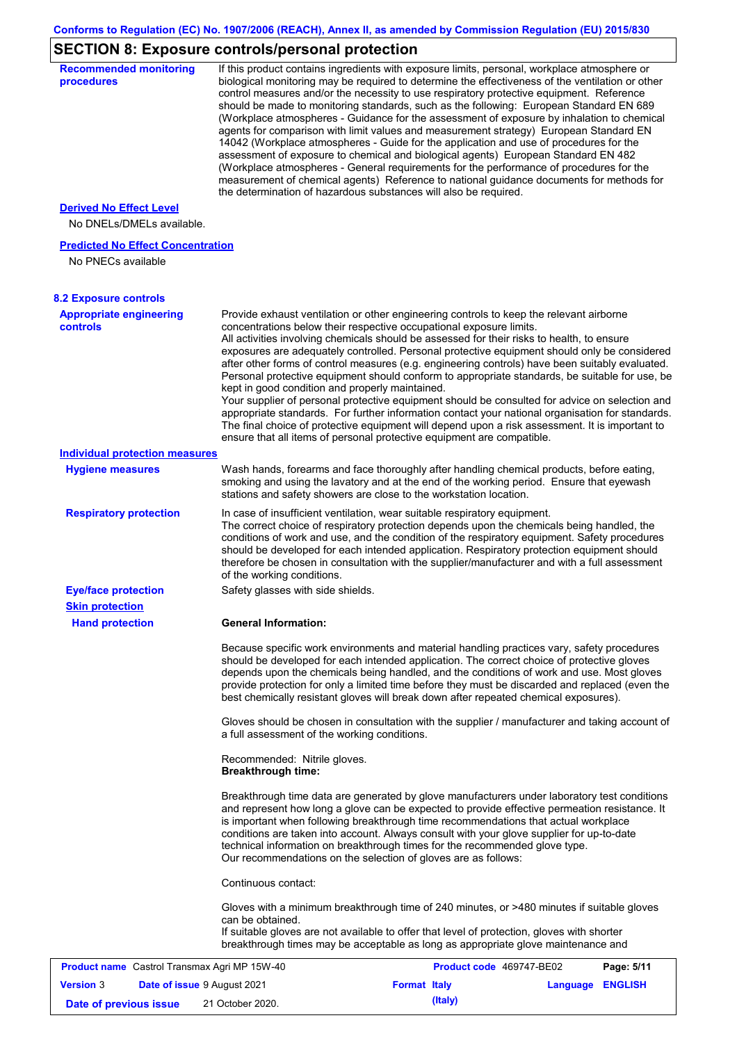## **SECTION 8: Exposure controls/personal protection**

| <b>Recommended monitoring</b><br>procedures                    |                                                           | If this product contains ingredients with exposure limits, personal, workplace atmosphere or<br>biological monitoring may be required to determine the effectiveness of the ventilation or other<br>control measures and/or the necessity to use respiratory protective equipment. Reference<br>should be made to monitoring standards, such as the following: European Standard EN 689<br>(Workplace atmospheres - Guidance for the assessment of exposure by inhalation to chemical<br>agents for comparison with limit values and measurement strategy) European Standard EN<br>14042 (Workplace atmospheres - Guide for the application and use of procedures for the<br>assessment of exposure to chemical and biological agents) European Standard EN 482<br>(Workplace atmospheres - General requirements for the performance of procedures for the<br>measurement of chemical agents) Reference to national guidance documents for methods for<br>the determination of hazardous substances will also be required. |                  |            |
|----------------------------------------------------------------|-----------------------------------------------------------|----------------------------------------------------------------------------------------------------------------------------------------------------------------------------------------------------------------------------------------------------------------------------------------------------------------------------------------------------------------------------------------------------------------------------------------------------------------------------------------------------------------------------------------------------------------------------------------------------------------------------------------------------------------------------------------------------------------------------------------------------------------------------------------------------------------------------------------------------------------------------------------------------------------------------------------------------------------------------------------------------------------------------|------------------|------------|
| <b>Derived No Effect Level</b><br>No DNELs/DMELs available.    |                                                           |                                                                                                                                                                                                                                                                                                                                                                                                                                                                                                                                                                                                                                                                                                                                                                                                                                                                                                                                                                                                                            |                  |            |
| <b>Predicted No Effect Concentration</b><br>No PNECs available |                                                           |                                                                                                                                                                                                                                                                                                                                                                                                                                                                                                                                                                                                                                                                                                                                                                                                                                                                                                                                                                                                                            |                  |            |
| <b>8.2 Exposure controls</b>                                   |                                                           |                                                                                                                                                                                                                                                                                                                                                                                                                                                                                                                                                                                                                                                                                                                                                                                                                                                                                                                                                                                                                            |                  |            |
| <b>Appropriate engineering</b><br>controls                     | kept in good condition and properly maintained.           | Provide exhaust ventilation or other engineering controls to keep the relevant airborne<br>concentrations below their respective occupational exposure limits.<br>All activities involving chemicals should be assessed for their risks to health, to ensure<br>exposures are adequately controlled. Personal protective equipment should only be considered<br>after other forms of control measures (e.g. engineering controls) have been suitably evaluated.<br>Personal protective equipment should conform to appropriate standards, be suitable for use, be<br>Your supplier of personal protective equipment should be consulted for advice on selection and<br>appropriate standards. For further information contact your national organisation for standards.<br>The final choice of protective equipment will depend upon a risk assessment. It is important to<br>ensure that all items of personal protective equipment are compatible.                                                                       |                  |            |
| <b>Individual protection measures</b>                          |                                                           |                                                                                                                                                                                                                                                                                                                                                                                                                                                                                                                                                                                                                                                                                                                                                                                                                                                                                                                                                                                                                            |                  |            |
| <b>Hygiene measures</b>                                        |                                                           | Wash hands, forearms and face thoroughly after handling chemical products, before eating,<br>smoking and using the lavatory and at the end of the working period. Ensure that eyewash<br>stations and safety showers are close to the workstation location.                                                                                                                                                                                                                                                                                                                                                                                                                                                                                                                                                                                                                                                                                                                                                                |                  |            |
| <b>Respiratory protection</b>                                  | of the working conditions.                                | In case of insufficient ventilation, wear suitable respiratory equipment.<br>The correct choice of respiratory protection depends upon the chemicals being handled, the<br>conditions of work and use, and the condition of the respiratory equipment. Safety procedures<br>should be developed for each intended application. Respiratory protection equipment should<br>therefore be chosen in consultation with the supplier/manufacturer and with a full assessment                                                                                                                                                                                                                                                                                                                                                                                                                                                                                                                                                    |                  |            |
| <b>Eye/face protection</b><br><b>Skin protection</b>           | Safety glasses with side shields.                         |                                                                                                                                                                                                                                                                                                                                                                                                                                                                                                                                                                                                                                                                                                                                                                                                                                                                                                                                                                                                                            |                  |            |
| <b>Hand protection</b>                                         | <b>General Information:</b>                               |                                                                                                                                                                                                                                                                                                                                                                                                                                                                                                                                                                                                                                                                                                                                                                                                                                                                                                                                                                                                                            |                  |            |
|                                                                |                                                           | Because specific work environments and material handling practices vary, safety procedures<br>should be developed for each intended application. The correct choice of protective gloves<br>depends upon the chemicals being handled, and the conditions of work and use. Most gloves<br>provide protection for only a limited time before they must be discarded and replaced (even the<br>best chemically resistant gloves will break down after repeated chemical exposures).<br>Gloves should be chosen in consultation with the supplier / manufacturer and taking account of                                                                                                                                                                                                                                                                                                                                                                                                                                         |                  |            |
|                                                                | a full assessment of the working conditions.              |                                                                                                                                                                                                                                                                                                                                                                                                                                                                                                                                                                                                                                                                                                                                                                                                                                                                                                                                                                                                                            |                  |            |
|                                                                | Recommended: Nitrile gloves.<br><b>Breakthrough time:</b> |                                                                                                                                                                                                                                                                                                                                                                                                                                                                                                                                                                                                                                                                                                                                                                                                                                                                                                                                                                                                                            |                  |            |
|                                                                |                                                           | Breakthrough time data are generated by glove manufacturers under laboratory test conditions<br>and represent how long a glove can be expected to provide effective permeation resistance. It<br>is important when following breakthrough time recommendations that actual workplace<br>conditions are taken into account. Always consult with your glove supplier for up-to-date<br>technical information on breakthrough times for the recommended glove type.<br>Our recommendations on the selection of gloves are as follows:                                                                                                                                                                                                                                                                                                                                                                                                                                                                                         |                  |            |
|                                                                | Continuous contact:                                       |                                                                                                                                                                                                                                                                                                                                                                                                                                                                                                                                                                                                                                                                                                                                                                                                                                                                                                                                                                                                                            |                  |            |
|                                                                | can be obtained.                                          | Gloves with a minimum breakthrough time of 240 minutes, or >480 minutes if suitable gloves<br>If suitable gloves are not available to offer that level of protection, gloves with shorter<br>breakthrough times may be acceptable as long as appropriate glove maintenance and                                                                                                                                                                                                                                                                                                                                                                                                                                                                                                                                                                                                                                                                                                                                             |                  |            |
| Product name Castrol Transmax Agri MP 15W-40                   |                                                           | Product code 469747-BE02                                                                                                                                                                                                                                                                                                                                                                                                                                                                                                                                                                                                                                                                                                                                                                                                                                                                                                                                                                                                   |                  | Page: 5/11 |
| <b>Version 3</b><br>Date of issue 9 August 2021                |                                                           | <b>Format Italy</b>                                                                                                                                                                                                                                                                                                                                                                                                                                                                                                                                                                                                                                                                                                                                                                                                                                                                                                                                                                                                        | Language ENGLISH |            |
| Date of previous issue                                         | 21 October 2020.                                          | (Italy)                                                                                                                                                                                                                                                                                                                                                                                                                                                                                                                                                                                                                                                                                                                                                                                                                                                                                                                                                                                                                    |                  |            |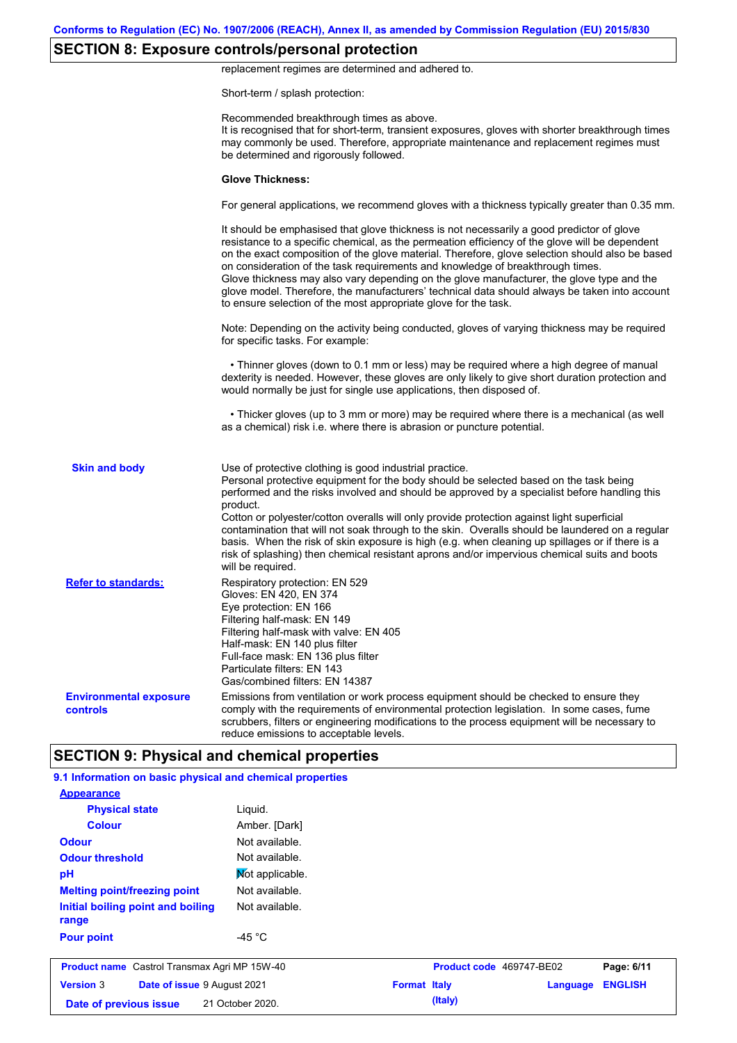## **SECTION 8: Exposure controls/personal protection**

replacement regimes are determined and adhered to.

Short-term / splash protection:

|                                                           | Recommended breakthrough times as above.<br>It is recognised that for short-term, transient exposures, gloves with shorter breakthrough times<br>may commonly be used. Therefore, appropriate maintenance and replacement regimes must<br>be determined and rigorously followed.                                                                                                                                                                                                                                                                                                                                                                                 |
|-----------------------------------------------------------|------------------------------------------------------------------------------------------------------------------------------------------------------------------------------------------------------------------------------------------------------------------------------------------------------------------------------------------------------------------------------------------------------------------------------------------------------------------------------------------------------------------------------------------------------------------------------------------------------------------------------------------------------------------|
|                                                           | <b>Glove Thickness:</b>                                                                                                                                                                                                                                                                                                                                                                                                                                                                                                                                                                                                                                          |
|                                                           | For general applications, we recommend gloves with a thickness typically greater than 0.35 mm.                                                                                                                                                                                                                                                                                                                                                                                                                                                                                                                                                                   |
|                                                           | It should be emphasised that glove thickness is not necessarily a good predictor of glove<br>resistance to a specific chemical, as the permeation efficiency of the glove will be dependent<br>on the exact composition of the glove material. Therefore, glove selection should also be based<br>on consideration of the task requirements and knowledge of breakthrough times.<br>Glove thickness may also vary depending on the glove manufacturer, the glove type and the<br>glove model. Therefore, the manufacturers' technical data should always be taken into account<br>to ensure selection of the most appropriate glove for the task.                |
|                                                           | Note: Depending on the activity being conducted, gloves of varying thickness may be required<br>for specific tasks. For example:                                                                                                                                                                                                                                                                                                                                                                                                                                                                                                                                 |
|                                                           | • Thinner gloves (down to 0.1 mm or less) may be required where a high degree of manual<br>dexterity is needed. However, these gloves are only likely to give short duration protection and<br>would normally be just for single use applications, then disposed of.                                                                                                                                                                                                                                                                                                                                                                                             |
|                                                           | • Thicker gloves (up to 3 mm or more) may be required where there is a mechanical (as well<br>as a chemical) risk i.e. where there is abrasion or puncture potential.                                                                                                                                                                                                                                                                                                                                                                                                                                                                                            |
| <b>Skin and body</b>                                      | Use of protective clothing is good industrial practice.<br>Personal protective equipment for the body should be selected based on the task being<br>performed and the risks involved and should be approved by a specialist before handling this<br>product.<br>Cotton or polyester/cotton overalls will only provide protection against light superficial<br>contamination that will not soak through to the skin. Overalls should be laundered on a regular<br>basis. When the risk of skin exposure is high (e.g. when cleaning up spillages or if there is a<br>risk of splashing) then chemical resistant aprons and/or impervious chemical suits and boots |
| <b>Refer to standards:</b>                                | will be required.<br>Respiratory protection: EN 529<br>Gloves: EN 420, EN 374<br>Eye protection: EN 166<br>Filtering half-mask: EN 149<br>Filtering half-mask with valve: EN 405<br>Half-mask: EN 140 plus filter<br>Full-face mask: EN 136 plus filter<br>Particulate filters: EN 143<br>Gas/combined filters: EN 14387                                                                                                                                                                                                                                                                                                                                         |
| <b>Environmental exposure</b><br>controls                 | Emissions from ventilation or work process equipment should be checked to ensure they<br>comply with the requirements of environmental protection legislation. In some cases, fume<br>scrubbers, filters or engineering modifications to the process equipment will be necessary to<br>reduce emissions to acceptable levels.                                                                                                                                                                                                                                                                                                                                    |
|                                                           | <b>SECTION 9: Physical and chemical properties</b>                                                                                                                                                                                                                                                                                                                                                                                                                                                                                                                                                                                                               |
| 9.1 Information on basic physical and chemical properties |                                                                                                                                                                                                                                                                                                                                                                                                                                                                                                                                                                                                                                                                  |
| <b>Appearance</b>                                         |                                                                                                                                                                                                                                                                                                                                                                                                                                                                                                                                                                                                                                                                  |
| <b>Physical state</b>                                     | Liquid.                                                                                                                                                                                                                                                                                                                                                                                                                                                                                                                                                                                                                                                          |

| <b>Colour</b>                                       | Amber. [Dark]    |                     |                          |          |                |
|-----------------------------------------------------|------------------|---------------------|--------------------------|----------|----------------|
| <b>Odour</b>                                        | Not available.   |                     |                          |          |                |
| <b>Odour threshold</b>                              | Not available.   |                     |                          |          |                |
| pH                                                  | Mot applicable.  |                     |                          |          |                |
| <b>Melting point/freezing point</b>                 | Not available.   |                     |                          |          |                |
| Initial boiling point and boiling<br>range          | Not available.   |                     |                          |          |                |
| <b>Pour point</b>                                   | -45 $^{\circ}$ C |                     |                          |          |                |
| <b>Product name</b> Castrol Transmax Agri MP 15W-40 |                  |                     | Product code 469747-BE02 |          | Page: 6/11     |
| <b>Version 3</b><br>Date of issue 9 August 2021     |                  | <b>Format Italy</b> |                          | Language | <b>ENGLISH</b> |
| Date of previous issue                              | 21 October 2020. |                     | (Italy)                  |          |                |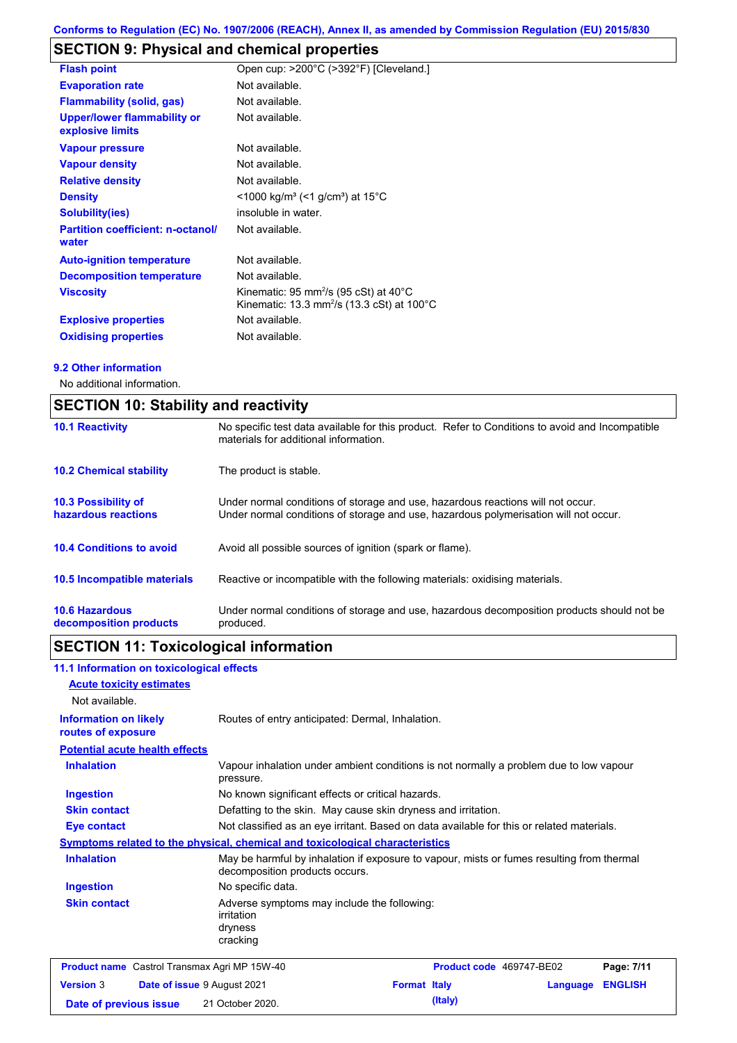## **SECTION 9: Physical and chemical properties**

| <b>Flash point</b>                                     | Open cup: >200°C (>392°F) [Cleveland.]                                                                                 |
|--------------------------------------------------------|------------------------------------------------------------------------------------------------------------------------|
| <b>Evaporation rate</b>                                | Not available.                                                                                                         |
| <b>Flammability (solid, gas)</b>                       | Not available.                                                                                                         |
| <b>Upper/lower flammability or</b><br>explosive limits | Not available.                                                                                                         |
| <b>Vapour pressure</b>                                 | Not available.                                                                                                         |
| <b>Vapour density</b>                                  | Not available.                                                                                                         |
| <b>Relative density</b>                                | Not available.                                                                                                         |
| <b>Density</b>                                         | $<$ 1000 kg/m <sup>3</sup> (<1 g/cm <sup>3</sup> ) at 15 <sup>°</sup> C                                                |
| <b>Solubility(ies)</b>                                 | insoluble in water.                                                                                                    |
| <b>Partition coefficient: n-octanol/</b><br>water      | Not available.                                                                                                         |
| <b>Auto-ignition temperature</b>                       | Not available.                                                                                                         |
| <b>Decomposition temperature</b>                       | Not available.                                                                                                         |
| <b>Viscosity</b>                                       | Kinematic: 95 mm <sup>2</sup> /s (95 cSt) at 40 $^{\circ}$ C<br>Kinematic: 13.3 mm <sup>2</sup> /s (13.3 cSt) at 100°C |
| <b>Explosive properties</b>                            | Not available.                                                                                                         |
| <b>Oxidising properties</b>                            | Not available.                                                                                                         |

#### **9.2 Other information**

No additional information.

|                                                   | <b>SECTION 10: Stability and reactivity</b>                                                                                                                             |  |  |  |
|---------------------------------------------------|-------------------------------------------------------------------------------------------------------------------------------------------------------------------------|--|--|--|
| <b>10.1 Reactivity</b>                            | No specific test data available for this product. Refer to Conditions to avoid and Incompatible<br>materials for additional information.                                |  |  |  |
| <b>10.2 Chemical stability</b>                    | The product is stable.                                                                                                                                                  |  |  |  |
| <b>10.3 Possibility of</b><br>hazardous reactions | Under normal conditions of storage and use, hazardous reactions will not occur.<br>Under normal conditions of storage and use, hazardous polymerisation will not occur. |  |  |  |
| <b>10.4 Conditions to avoid</b>                   | Avoid all possible sources of ignition (spark or flame).                                                                                                                |  |  |  |
| 10.5 Incompatible materials                       | Reactive or incompatible with the following materials: oxidising materials.                                                                                             |  |  |  |
| <b>10.6 Hazardous</b><br>decomposition products   | Under normal conditions of storage and use, hazardous decomposition products should not be<br>produced.                                                                 |  |  |  |

# **SECTION 11: Toxicological information**

| 11.1 Information on toxicological effects           |                                                                                                                             |                     |                          |          |                |
|-----------------------------------------------------|-----------------------------------------------------------------------------------------------------------------------------|---------------------|--------------------------|----------|----------------|
| <b>Acute toxicity estimates</b><br>Not available.   |                                                                                                                             |                     |                          |          |                |
| <b>Information on likely</b><br>routes of exposure  | Routes of entry anticipated: Dermal, Inhalation.                                                                            |                     |                          |          |                |
| <b>Potential acute health effects</b>               |                                                                                                                             |                     |                          |          |                |
| <b>Inhalation</b>                                   | Vapour inhalation under ambient conditions is not normally a problem due to low vapour<br>pressure.                         |                     |                          |          |                |
| <b>Ingestion</b>                                    | No known significant effects or critical hazards.                                                                           |                     |                          |          |                |
| <b>Skin contact</b>                                 | Defatting to the skin. May cause skin dryness and irritation.                                                               |                     |                          |          |                |
| Eye contact                                         | Not classified as an eye irritant. Based on data available for this or related materials.                                   |                     |                          |          |                |
|                                                     | <b>Symptoms related to the physical, chemical and toxicological characteristics</b>                                         |                     |                          |          |                |
| <b>Inhalation</b>                                   | May be harmful by inhalation if exposure to vapour, mists or fumes resulting from thermal<br>decomposition products occurs. |                     |                          |          |                |
| <b>Ingestion</b>                                    | No specific data.                                                                                                           |                     |                          |          |                |
| <b>Skin contact</b>                                 | Adverse symptoms may include the following:<br>irritation<br>dryness<br>cracking                                            |                     |                          |          |                |
| <b>Product name</b> Castrol Transmax Agri MP 15W-40 |                                                                                                                             |                     | Product code 469747-BE02 |          | Page: 7/11     |
| <b>Version 3</b><br>Date of issue 9 August 2021     |                                                                                                                             | <b>Format Italy</b> |                          | Language | <b>ENGLISH</b> |
| Date of previous issue                              | 21 October 2020.                                                                                                            |                     | (Italy)                  |          |                |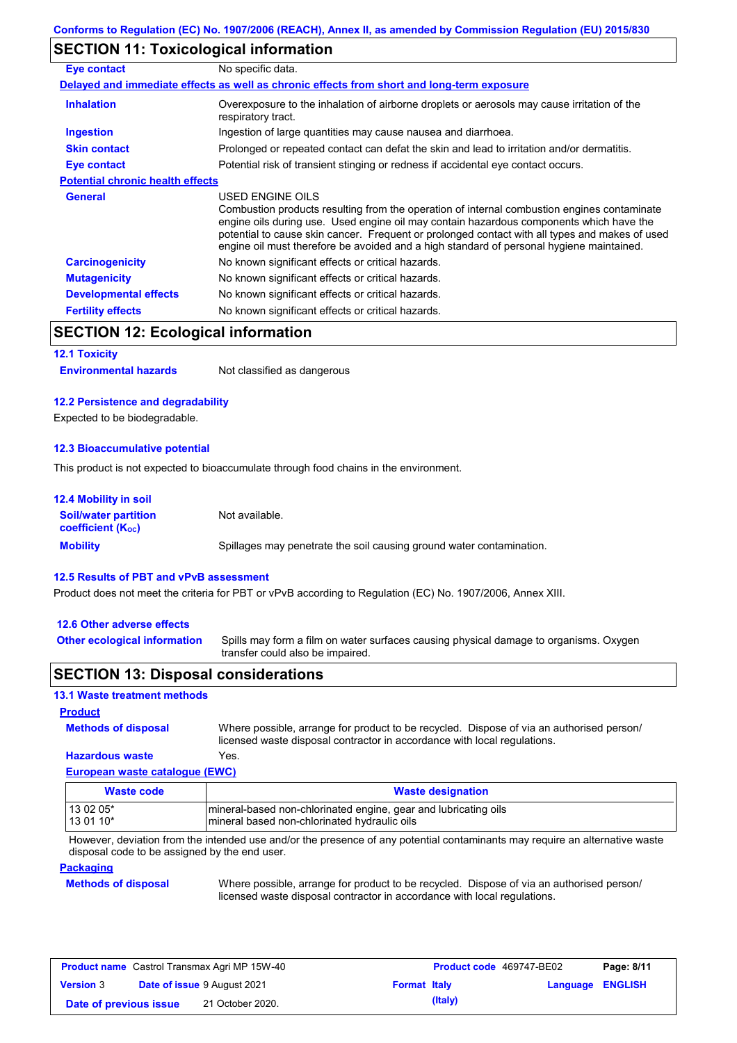### **SECTION 11: Toxicological information**

| Eye contact                             | No specific data.                                                                                                                                                                                                                                                                                                                                                                                        |
|-----------------------------------------|----------------------------------------------------------------------------------------------------------------------------------------------------------------------------------------------------------------------------------------------------------------------------------------------------------------------------------------------------------------------------------------------------------|
|                                         | Delayed and immediate effects as well as chronic effects from short and long-term exposure                                                                                                                                                                                                                                                                                                               |
| <b>Inhalation</b>                       | Overexposure to the inhalation of airborne droplets or aerosols may cause irritation of the<br>respiratory tract.                                                                                                                                                                                                                                                                                        |
| <b>Ingestion</b>                        | Ingestion of large quantities may cause nausea and diarrhoea.                                                                                                                                                                                                                                                                                                                                            |
| <b>Skin contact</b>                     | Prolonged or repeated contact can defat the skin and lead to irritation and/or dermatitis.                                                                                                                                                                                                                                                                                                               |
| Eye contact                             | Potential risk of transient stinging or redness if accidental eye contact occurs.                                                                                                                                                                                                                                                                                                                        |
| <b>Potential chronic health effects</b> |                                                                                                                                                                                                                                                                                                                                                                                                          |
| <b>General</b>                          | USED ENGINE OILS<br>Combustion products resulting from the operation of internal combustion engines contaminate<br>engine oils during use. Used engine oil may contain hazardous components which have the<br>potential to cause skin cancer. Frequent or prolonged contact with all types and makes of used<br>engine oil must therefore be avoided and a high standard of personal hygiene maintained. |
| <b>Carcinogenicity</b>                  | No known significant effects or critical hazards.                                                                                                                                                                                                                                                                                                                                                        |
| <b>Mutagenicity</b>                     | No known significant effects or critical hazards.                                                                                                                                                                                                                                                                                                                                                        |
| <b>Developmental effects</b>            | No known significant effects or critical hazards.                                                                                                                                                                                                                                                                                                                                                        |
| <b>Fertility effects</b>                | No known significant effects or critical hazards.                                                                                                                                                                                                                                                                                                                                                        |

### **SECTION 12: Ecological information**

#### **12.1 Toxicity**

**Environmental hazards** Not classified as dangerous

#### **12.2 Persistence and degradability**

Expected to be biodegradable.

#### **12.3 Bioaccumulative potential**

This product is not expected to bioaccumulate through food chains in the environment.

| <b>12.4 Mobility in soil</b>                            |                                                                      |
|---------------------------------------------------------|----------------------------------------------------------------------|
| <b>Soil/water partition</b><br><b>coefficient (Koc)</b> | Not available.                                                       |
| <b>Mobility</b>                                         | Spillages may penetrate the soil causing ground water contamination. |

#### **12.5 Results of PBT and vPvB assessment**

Product does not meet the criteria for PBT or vPvB according to Regulation (EC) No. 1907/2006, Annex XIII.

#### **12.6 Other adverse effects**

**Other ecological information**

Spills may form a film on water surfaces causing physical damage to organisms. Oxygen transfer could also be impaired.

### **SECTION 13: Disposal considerations**

### **13.1 Waste treatment methods**

**Methods of disposal**

**Product**

Where possible, arrange for product to be recycled. Dispose of via an authorised person/ licensed waste disposal contractor in accordance with local regulations.

#### **European waste catalogue (EWC) Hazardous waste** Yes.

| Waste code | <b>Waste designation</b>                                         |
|------------|------------------------------------------------------------------|
| 13 02 05*  | Imineral-based non-chlorinated engine, gear and lubricating oils |
| $130110*$  | Imineral based non-chlorinated hydraulic oils                    |

However, deviation from the intended use and/or the presence of any potential contaminants may require an alternative waste disposal code to be assigned by the end user.

#### **Packaging**

**Methods of disposal**

Where possible, arrange for product to be recycled. Dispose of via an authorised person/ licensed waste disposal contractor in accordance with local regulations.

| <b>Product name</b> Castrol Transmax Agri MP 15W-40    |  | <b>Product code</b> 469747-BE02 |  | Page: 8/11              |  |  |
|--------------------------------------------------------|--|---------------------------------|--|-------------------------|--|--|
| <b>Version 3</b><br><b>Date of issue 9 August 2021</b> |  | <b>Format Italy</b>             |  | <b>Language ENGLISH</b> |  |  |
| Date of previous issue                                 |  | 21 October 2020.                |  | (Italy)                 |  |  |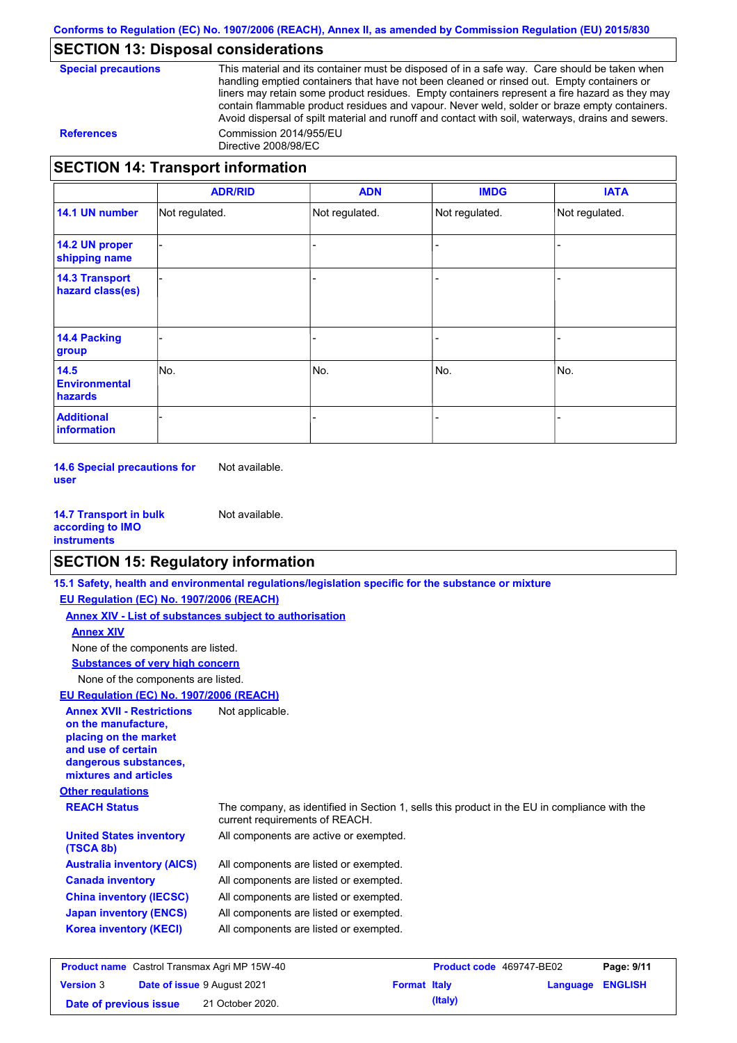### **SECTION 13: Disposal considerations**

**Special precautions** This material and its container must be disposed of in a safe way. Care should be taken when handling emptied containers that have not been cleaned or rinsed out. Empty containers or liners may retain some product residues. Empty containers represent a fire hazard as they may contain flammable product residues and vapour. Never weld, solder or braze empty containers. Avoid dispersal of spilt material and runoff and contact with soil, waterways, drains and sewers. **References** Commission 2014/955/EU Directive 2008/98/EC

### **SECTION 14: Transport information**

|                                           | <b>ADR/RID</b> | <b>ADN</b>     | <b>IMDG</b>    | <b>IATA</b>    |
|-------------------------------------------|----------------|----------------|----------------|----------------|
| 14.1 UN number                            | Not regulated. | Not regulated. | Not regulated. | Not regulated. |
| 14.2 UN proper<br>shipping name           |                |                |                |                |
| <b>14.3 Transport</b><br>hazard class(es) |                |                |                |                |
| <b>14.4 Packing</b><br>group              |                |                |                |                |
| 14.5<br><b>Environmental</b><br>hazards   | No.            | No.            | No.            | No.            |
| <b>Additional</b><br>information          |                |                |                |                |

**14.6 Special precautions for user** Not available.

**14.7 Transport in bulk according to IMO instruments** Not available.

### **SECTION 15: Regulatory information**

|                                                                                                                                                          | 15.1 Safety, health and environmental regulations/legislation specific for the substance or mixture                            |                          |            |
|----------------------------------------------------------------------------------------------------------------------------------------------------------|--------------------------------------------------------------------------------------------------------------------------------|--------------------------|------------|
| EU Regulation (EC) No. 1907/2006 (REACH)                                                                                                                 |                                                                                                                                |                          |            |
|                                                                                                                                                          | Annex XIV - List of substances subject to authorisation                                                                        |                          |            |
| <b>Annex XIV</b>                                                                                                                                         |                                                                                                                                |                          |            |
| None of the components are listed.                                                                                                                       |                                                                                                                                |                          |            |
| <b>Substances of very high concern</b>                                                                                                                   |                                                                                                                                |                          |            |
| None of the components are listed.                                                                                                                       |                                                                                                                                |                          |            |
| EU Regulation (EC) No. 1907/2006 (REACH)                                                                                                                 |                                                                                                                                |                          |            |
| <b>Annex XVII - Restrictions</b><br>on the manufacture.<br>placing on the market<br>and use of certain<br>dangerous substances,<br>mixtures and articles | Not applicable.                                                                                                                |                          |            |
| <b>Other regulations</b>                                                                                                                                 |                                                                                                                                |                          |            |
| <b>REACH Status</b>                                                                                                                                      | The company, as identified in Section 1, sells this product in the EU in compliance with the<br>current requirements of REACH. |                          |            |
| <b>United States inventory</b><br>(TSCA 8b)                                                                                                              | All components are active or exempted.                                                                                         |                          |            |
| <b>Australia inventory (AICS)</b>                                                                                                                        | All components are listed or exempted.                                                                                         |                          |            |
| <b>Canada inventory</b>                                                                                                                                  | All components are listed or exempted.                                                                                         |                          |            |
| <b>China inventory (IECSC)</b>                                                                                                                           | All components are listed or exempted.                                                                                         |                          |            |
| <b>Japan inventory (ENCS)</b>                                                                                                                            | All components are listed or exempted.                                                                                         |                          |            |
| <b>Korea inventory (KECI)</b>                                                                                                                            | All components are listed or exempted.                                                                                         |                          |            |
| <b>Product name</b> Castrol Transmax Agri MP 15W-40                                                                                                      |                                                                                                                                | Product code 469747-BE02 | Page: 9/11 |

| <b>Product name</b> Castrol Transmax Agri MP 15W-40 |  |                                    | <b>Product code</b> 469747-BE02 | Page: 9/11 |                         |  |
|-----------------------------------------------------|--|------------------------------------|---------------------------------|------------|-------------------------|--|
| <b>Version 3</b>                                    |  | <b>Date of issue 9 August 2021</b> | <b>Format Italy</b>             |            | <b>Language ENGLISH</b> |  |
| Date of previous issue                              |  | 21 October 2020.                   |                                 | (Italy)    |                         |  |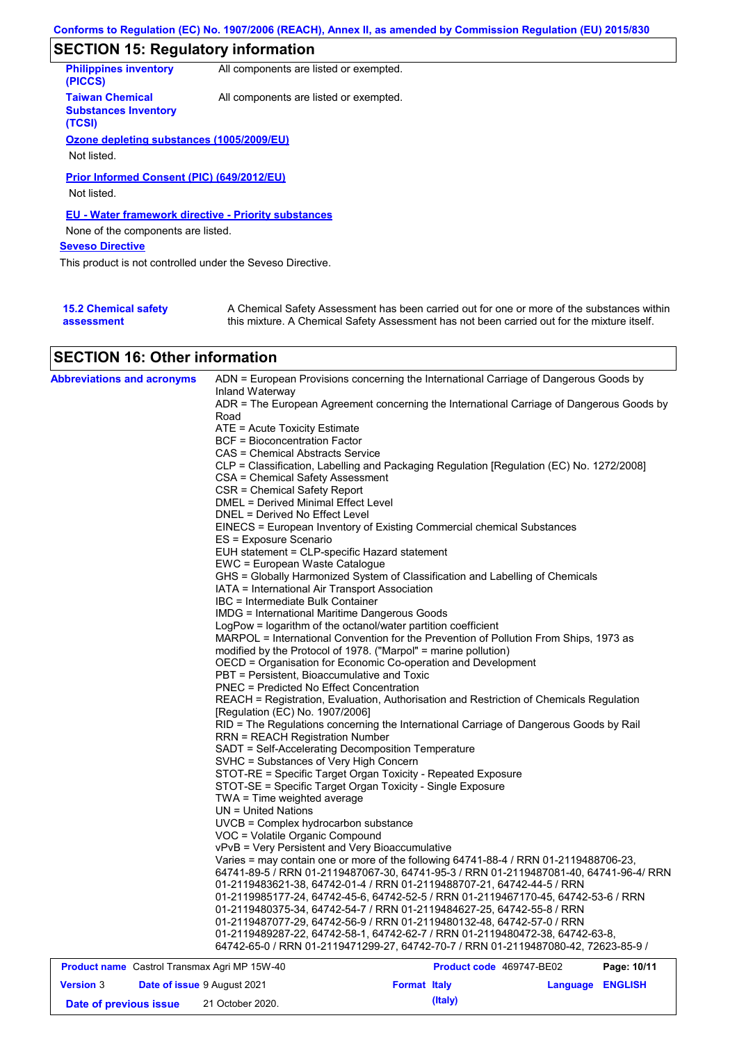## **SECTION 15: Regulatory information**

| <b>Philippines inventory</b><br>(PICCS)                         | All components are listed or exempted.                      |  |
|-----------------------------------------------------------------|-------------------------------------------------------------|--|
| <b>Taiwan Chemical</b><br><b>Substances Inventory</b><br>(TCSI) | All components are listed or exempted.                      |  |
| Ozone depleting substances (1005/2009/EU)                       |                                                             |  |
| Not listed.                                                     |                                                             |  |
| Prior Informed Consent (PIC) (649/2012/EU)                      |                                                             |  |
| Not listed.                                                     |                                                             |  |
|                                                                 | <b>EU - Water framework directive - Priority substances</b> |  |
| None of the components are listed.                              |                                                             |  |
| <b>Seveso Directive</b>                                         |                                                             |  |
| This product is not controlled under the Seveso Directive.      |                                                             |  |
|                                                                 |                                                             |  |
|                                                                 |                                                             |  |

| <b>15.2 Chemical safety</b> | A Chemical Safety Assessment has been carried out for one or more of the substances within  |
|-----------------------------|---------------------------------------------------------------------------------------------|
| assessment                  | this mixture. A Chemical Safety Assessment has not been carried out for the mixture itself. |

## **SECTION 16: Other information**

| <b>Abbreviations and acronyms</b>                   | Inland Waterway                                                 | ADN = European Provisions concerning the International Carriage of Dangerous Goods by                                                                              |             |
|-----------------------------------------------------|-----------------------------------------------------------------|--------------------------------------------------------------------------------------------------------------------------------------------------------------------|-------------|
|                                                     |                                                                 | ADR = The European Agreement concerning the International Carriage of Dangerous Goods by                                                                           |             |
|                                                     | Road                                                            |                                                                                                                                                                    |             |
|                                                     | $ATE = Acute Toxicity Estimate$                                 |                                                                                                                                                                    |             |
|                                                     | BCF = Bioconcentration Factor                                   |                                                                                                                                                                    |             |
|                                                     | CAS = Chemical Abstracts Service                                |                                                                                                                                                                    |             |
|                                                     |                                                                 | CLP = Classification, Labelling and Packaging Regulation [Regulation (EC) No. 1272/2008]                                                                           |             |
|                                                     | CSA = Chemical Safety Assessment                                |                                                                                                                                                                    |             |
|                                                     | CSR = Chemical Safety Report                                    |                                                                                                                                                                    |             |
|                                                     | DMEL = Derived Minimal Effect Level                             |                                                                                                                                                                    |             |
|                                                     | DNEL = Derived No Effect Level                                  |                                                                                                                                                                    |             |
|                                                     |                                                                 | EINECS = European Inventory of Existing Commercial chemical Substances                                                                                             |             |
|                                                     | ES = Exposure Scenario                                          |                                                                                                                                                                    |             |
|                                                     | EUH statement = CLP-specific Hazard statement                   |                                                                                                                                                                    |             |
|                                                     | EWC = European Waste Catalogue                                  |                                                                                                                                                                    |             |
|                                                     |                                                                 | GHS = Globally Harmonized System of Classification and Labelling of Chemicals                                                                                      |             |
|                                                     | IATA = International Air Transport Association                  |                                                                                                                                                                    |             |
|                                                     | IBC = Intermediate Bulk Container                               |                                                                                                                                                                    |             |
|                                                     | <b>IMDG = International Maritime Dangerous Goods</b>            |                                                                                                                                                                    |             |
|                                                     | LogPow = logarithm of the octanol/water partition coefficient   |                                                                                                                                                                    |             |
|                                                     |                                                                 | MARPOL = International Convention for the Prevention of Pollution From Ships, 1973 as                                                                              |             |
|                                                     | modified by the Protocol of 1978. ("Marpol" = marine pollution) |                                                                                                                                                                    |             |
|                                                     |                                                                 | OECD = Organisation for Economic Co-operation and Development                                                                                                      |             |
|                                                     | PBT = Persistent, Bioaccumulative and Toxic                     |                                                                                                                                                                    |             |
|                                                     | <b>PNEC = Predicted No Effect Concentration</b>                 |                                                                                                                                                                    |             |
|                                                     |                                                                 | REACH = Registration, Evaluation, Authorisation and Restriction of Chemicals Regulation                                                                            |             |
|                                                     | [Regulation (EC) No. 1907/2006]                                 |                                                                                                                                                                    |             |
|                                                     |                                                                 | RID = The Regulations concerning the International Carriage of Dangerous Goods by Rail                                                                             |             |
|                                                     | <b>RRN = REACH Registration Number</b>                          |                                                                                                                                                                    |             |
|                                                     | SADT = Self-Accelerating Decomposition Temperature              |                                                                                                                                                                    |             |
|                                                     | SVHC = Substances of Very High Concern                          |                                                                                                                                                                    |             |
|                                                     |                                                                 | STOT-RE = Specific Target Organ Toxicity - Repeated Exposure                                                                                                       |             |
|                                                     | STOT-SE = Specific Target Organ Toxicity - Single Exposure      |                                                                                                                                                                    |             |
|                                                     | TWA = Time weighted average                                     |                                                                                                                                                                    |             |
|                                                     | UN = United Nations                                             |                                                                                                                                                                    |             |
|                                                     | UVCB = Complex hydrocarbon substance                            |                                                                                                                                                                    |             |
|                                                     | VOC = Volatile Organic Compound                                 |                                                                                                                                                                    |             |
|                                                     | vPvB = Very Persistent and Very Bioaccumulative                 |                                                                                                                                                                    |             |
|                                                     |                                                                 | Varies = may contain one or more of the following 64741-88-4 / RRN 01-2119488706-23,                                                                               |             |
|                                                     |                                                                 | 64741-89-5 / RRN 01-2119487067-30, 64741-95-3 / RRN 01-2119487081-40, 64741-96-4/ RRN                                                                              |             |
|                                                     |                                                                 | 01-2119483621-38, 64742-01-4 / RRN 01-2119488707-21, 64742-44-5 / RRN                                                                                              |             |
|                                                     |                                                                 | 01-2119985177-24, 64742-45-6, 64742-52-5 / RRN 01-2119467170-45, 64742-53-6 / RRN                                                                                  |             |
|                                                     |                                                                 | 01-2119480375-34, 64742-54-7 / RRN 01-2119484627-25, 64742-55-8 / RRN                                                                                              |             |
|                                                     |                                                                 | 01-2119487077-29, 64742-56-9 / RRN 01-2119480132-48, 64742-57-0 / RRN                                                                                              |             |
|                                                     |                                                                 | 01-2119489287-22, 64742-58-1, 64742-62-7 / RRN 01-2119480472-38, 64742-63-8,<br>64742-65-0 / RRN 01-2119471299-27, 64742-70-7 / RRN 01-2119487080-42, 72623-85-9 / |             |
|                                                     |                                                                 |                                                                                                                                                                    |             |
| <b>Product name</b> Castrol Transmax Agri MP 15W-40 |                                                                 | Product code 469747-BE02                                                                                                                                           | Page: 10/11 |

| <b>Product name</b> Castrol Transmax Agri MP 15W-40 |  |                                    | <b>Product code</b> 469747-BE02 | Page: 10/11 |                  |  |
|-----------------------------------------------------|--|------------------------------------|---------------------------------|-------------|------------------|--|
| <b>Version 3</b>                                    |  | <b>Date of issue 9 August 2021</b> | <b>Format Italy</b>             |             | Language ENGLISH |  |
| Date of previous issue                              |  | 21 October 2020.                   |                                 | (Italy)     |                  |  |